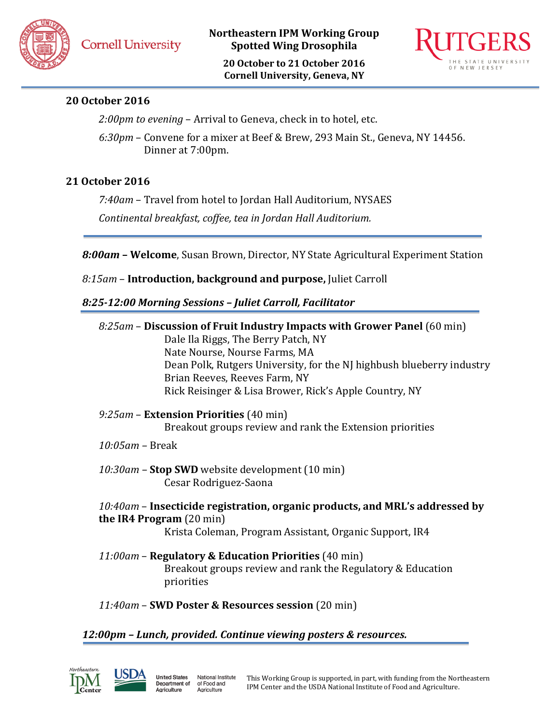**Northeastern IPM Working Group Spotted Wing Drosophila**

**20 October to 21 October 2016 Cornell University, Geneva, NY**



# **20 October 2016**

*2:00pm to evening* – Arrival to Geneva, check in to hotel, etc.

*6:30pm* – Convene for a mixer at Beef & Brew, 293 Main St., Geneva, NY 14456. Dinner at 7:00pm.

## **21 October 2016**

*7:40am* – Travel from hotel to Jordan Hall Auditorium, NYSAES

*Continental breakfast, coffee, tea in Jordan Hall Auditorium.*

*8:00am* **– Welcome**, Susan Brown, Director, NY State Agricultural Experiment Station

*8:15am* – **Introduction, background and purpose,** Juliet Carroll

## *8:25-12:00 Morning Sessions – Juliet Carroll, Facilitator*

| 8:25am – Discussion of Fruit Industry Impacts with Grower Panel (60 min) |  |
|--------------------------------------------------------------------------|--|
| <b>Dale Ila Rigge The Rerry Patch NV</b>                                 |  |

Dale Ila Riggs, The Berry Patch, NY Nate Nourse, Nourse Farms, MA Dean Polk, Rutgers University, for the NJ highbush blueberry industry Brian Reeves, Reeves Farm, NY Rick Reisinger & Lisa Brower, Rick's Apple Country, NY

*9:25am* – **Extension Priorities** (40 min) Breakout groups review and rank the Extension priorities

- *10:05am –* Break
- *10:30am –* **Stop SWD** website development (10 min) Cesar Rodriguez-Saona
- *10:40am* **Insecticide registration, organic products, and MRL's addressed by the IR4 Program** (20 min) Krista Coleman, Program Assistant, Organic Support, IR4
- *11:00am* **Regulatory & Education Priorities** (40 min) Breakout groups review and rank the Regulatory & Education priorities
- *11:40am* **SWD Poster & Resources session** (20 min)

of Food and

Agriculture

## *12:00pm – Lunch, provided. Continue viewing posters & resources.*